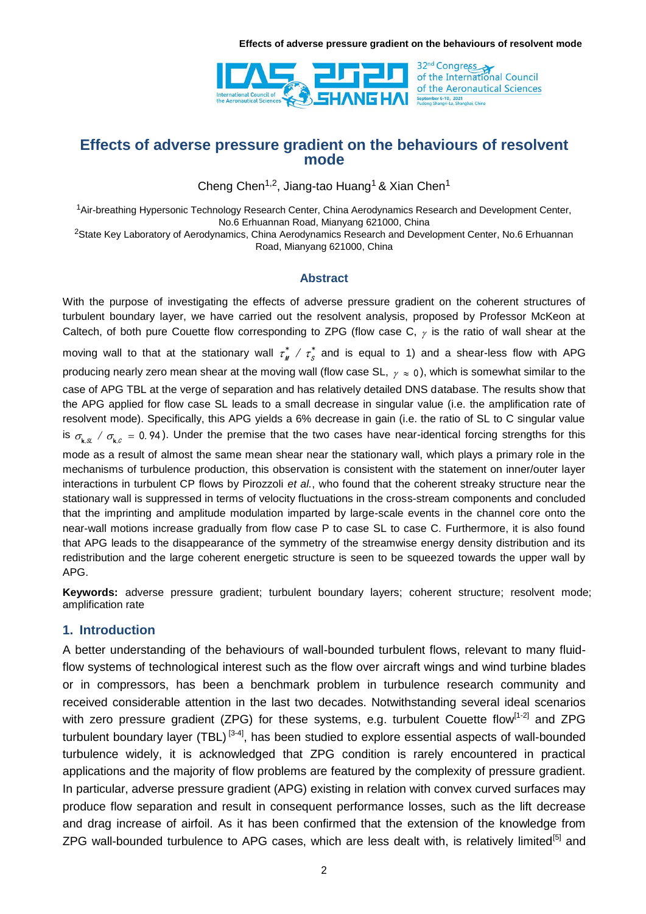

Cheng Chen<sup>1,2</sup>, Jiang-tao Huang<sup>1</sup> & Xian Chen<sup>1</sup>

<sup>1</sup>Air-breathing Hypersonic Technology Research Center, China Aerodynamics Research and Development Center, No.6 Erhuannan Road, Mianyang 621000, China

<sup>2</sup>State Key Laboratory of Aerodynamics, China Aerodynamics Research and Development Center, No.6 Erhuannan Road, Mianyang 621000, China

### **Abstract**

With the purpose of investigating the effects of adverse pressure gradient on the coherent structures of turbulent boundary layer, we have carried out the resolvent analysis, proposed by Professor McKeon at Caltech, of both pure Couette flow corresponding to ZPG (flow case C,  $_{\gamma}$  is the ratio of wall shear at the moving wall to that at the stationary wall  $\tau^*_w$  /  $\tau^*_s$  and is equal to 1) and a shear-less flow with APG producing nearly zero mean shear at the moving wall (flow case SL,  $\gamma$   $\approx$  0), which is somewhat similar to the case of APG TBL at the verge of separation and has relatively detailed DNS database. The results show that the APG applied for flow case SL leads to a small decrease in singular value (i.e. the amplification rate of resolvent mode). Specifically, this APG yields a 6% decrease in gain (i.e. the ratio of SL to C singular value is  $\sigma_{k,x}$  /  $\sigma_{k,c}$  = 0.94). Under the premise that the two cases have near-identical forcing strengths for this mode as a result of almost the same mean shear near the stationary wall, which plays a primary role in the mechanisms of turbulence production, this observation is consistent with the statement on inner/outer layer interactions in turbulent CP flows by Pirozzoli *et al.*, who found that the coherent streaky structure near the stationary wall is suppressed in terms of velocity fluctuations in the cross-stream components and concluded that the imprinting and amplitude modulation imparted by large-scale events in the channel core onto the near-wall motions increase gradually from flow case P to case SL to case C. Furthermore, it is also found that APG leads to the disappearance of the symmetry of the streamwise energy density distribution and its redistribution and the large coherent energetic structure is seen to be squeezed towards the upper wall by APG.

**Keywords:** adverse pressure gradient; turbulent boundary layers; coherent structure; resolvent mode; amplification rate

# **1. Introduction**

A better understanding of the behaviours of wall-bounded turbulent flows, relevant to many fluidflow systems of technological interest such as the flow over aircraft wings and wind turbine blades or in compressors, has been a benchmark problem in turbulence research community and received considerable attention in the last two decades. Notwithstanding several ideal scenarios with zero pressure gradient (ZPG) for these systems, e.g. turbulent Couette flow<sup>[1-2]</sup> and ZPG turbulent boundary layer (TBL)<sup>[3-4]</sup>, has been studied to explore essential aspects of wall-bounded turbulence widely, it is acknowledged that ZPG condition is rarely encountered in practical applications and the majority of flow problems are featured by the complexity of pressure gradient. In particular, adverse pressure gradient (APG) existing in relation with convex curved surfaces may produce flow separation and result in consequent performance losses, such as the lift decrease and drag increase of airfoil. As it has been confirmed that the extension of the knowledge from ZPG wall-bounded turbulence to APG cases, which are less dealt with, is relatively limited<sup>[5]</sup> and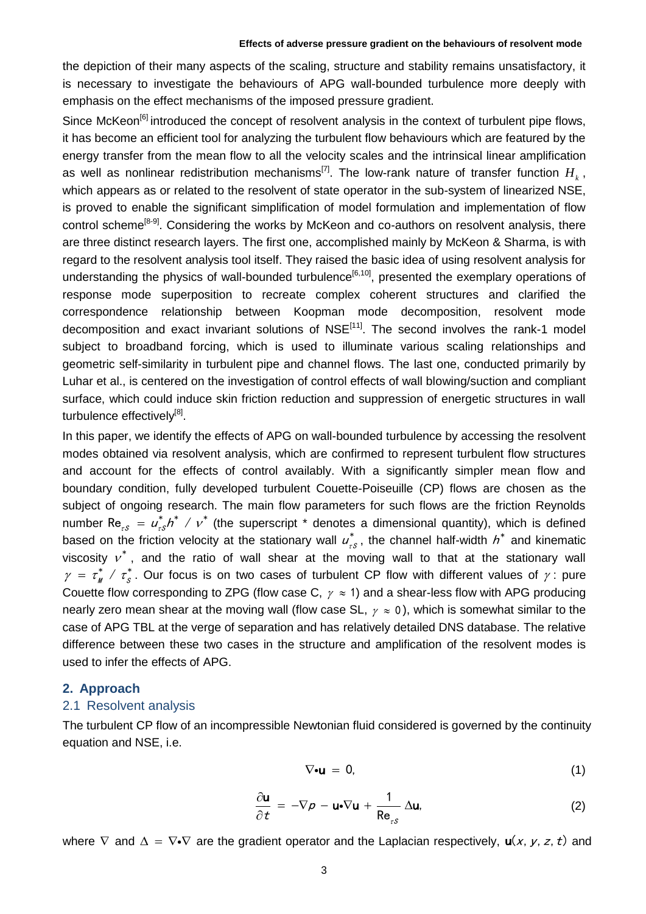the depiction of their many aspects of the scaling, structure and stability remains unsatisfactory, it is necessary to investigate the behaviours of APG wall-bounded turbulence more deeply with emphasis on the effect mechanisms of the imposed pressure gradient.

Since McKeon<sup>[6]</sup> introduced the concept of resolvent analysis in the context of turbulent pipe flows, it has become an efficient tool for analyzing the turbulent flow behaviours which are featured by the energy transfer from the mean flow to all the velocity scales and the intrinsical linear amplification as well as nonlinear redistribution mechanisms<sup>[7]</sup>. The low-rank nature of transfer function  $H_k$ , which appears as or related to the resolvent of state operator in the sub-system of linearized NSE, is proved to enable the significant simplification of model formulation and implementation of flow control scheme<sup>[8-9]</sup>. Considering the works by McKeon and co-authors on resolvent analysis, there are three distinct research layers. The first one, accomplished mainly by McKeon & Sharma, is with regard to the resolvent analysis tool itself. They raised the basic idea of using resolvent analysis for understanding the physics of wall-bounded turbulence<sup>[6,10]</sup>, presented the exemplary operations of response mode superposition to recreate complex coherent structures and clarified the correspondence relationship between Koopman mode decomposition, resolvent mode decomposition and exact invariant solutions of NSE<sup>[11]</sup>. The second involves the rank-1 model subject to broadband forcing, which is used to illuminate various scaling relationships and geometric self-similarity in turbulent pipe and channel flows. The last one, conducted primarily by Luhar et al., is centered on the investigation of control effects of wall blowing/suction and compliant surface, which could induce skin friction reduction and suppression of energetic structures in wall turbulence effectively<sup>[8]</sup>.

In this paper, we identify the effects of APG on wall-bounded turbulence by accessing the resolvent modes obtained via resolvent analysis, which are confirmed to represent turbulent flow structures and account for the effects of control availably. With a significantly simpler mean flow and boundary condition, fully developed turbulent Couette-Poiseuille (CP) flows are chosen as the subject of ongoing research. The main flow parameters for such flows are the friction Reynolds number  $\text{Re}_{zS} = u_{zS}^* h^* / v^*$  (the superscript  $*$  denotes a dimensional quantity), which is defined based on the friction velocity at the stationary wall  $u_i^*$ \*  $u_{\tau s}^*$ , the channel half-width  $h^*$  and kinematic viscosity  $v^*$ , and the ratio of wall shear at the moving wall to that at the stationary wall  $\gamma = \tau_M^* / \tau_S^*$ . Our focus is on two cases of turbulent CP flow with different values of  $\gamma$ : pure Couette flow corresponding to ZPG (flow case C,  $\gamma \approx$  1) and a shear-less flow with APG producing nearly zero mean shear at the moving wall (flow case SL,  $\gamma \approx 0$ ), which is somewhat similar to the case of APG TBL at the verge of separation and has relatively detailed DNS database. The relative difference between these two cases in the structure and amplification of the resolvent modes is used to infer the effects of APG.

#### **2. Approach**

### 2.1 Resolvent analysis

The turbulent CP flow of an incompressible Newtonian fluid considered is governed by the continuity equation and NSE, i.e.

$$
\nabla \bullet \mathbf{u} = 0, \tag{1}
$$

$$
\frac{\partial \mathbf{u}}{\partial t} = -\nabla \rho - \mathbf{u} \cdot \nabla \mathbf{u} + \frac{1}{\text{Re}_{rs}} \Delta \mathbf{u}, \tag{2}
$$

where  $\nabla$  and  $\Delta = \nabla \cdot \nabla$  are the gradient operator and the Laplacian respectively,  $\mathbf{u}(x, y, z, t)$  and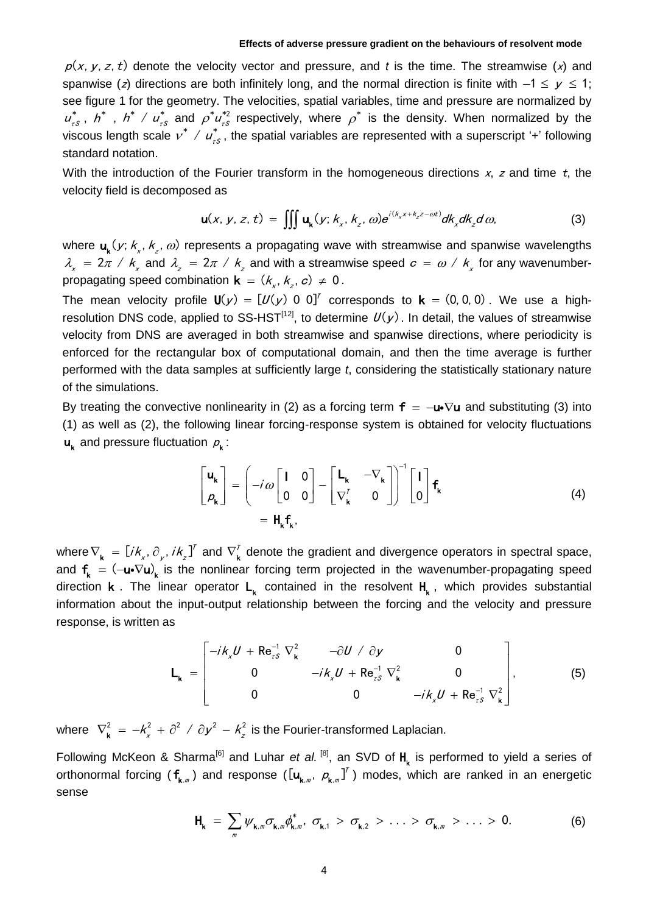$p(x, y, z, t)$  denote the velocity vector and pressure, and *t* is the time. The streamwise  $(x)$  and spanwise (z) directions are both infinitely long, and the normal direction is finite with  $-1 \le y \le 1$ ; see figure 1 for the geometry. The velocities, spatial variables, time and pressure are normalized by ı \*  $\mu^*_{_{\tau S}}$  ,  $\ h^*$  ,  $\ h^*$  /  $\mu^*_{_{\tau S}}$  and  $\rho^* \mu^{*2}_{_{\tau S}}$ viscous length scale  $v^*$  /  $u^*_{ts}$ , the spatial variables are represented with a superscript '+' following  $u_{\tau s}^{*2}$  respectively, where  $\rho^*$  is the density. When normalized by the standard notation.

With the introduction of the Fourier transform in the homogeneous directions  $x$ , z and time t, the velocity field is decomposed as

ed as  
\n
$$
\mathbf{u}(x, y, z, t) = \iiint \mathbf{u}_{k}(y; k_{x}, k_{z}, \omega) e^{i(k_{x}x + k_{z}z - \omega t)} d k_{x} d k_{z} d \omega,
$$
\n(3)

where  $\mathbf{u}_{\mathbf{k}}(y; k_{x}, k_{z}, \omega)$  represents a propagating wave with streamwise and spanwise wavelengths  $\lambda_{\chi}$  = 2 $\pi$  /  $k_{\chi}$  and  $\lambda_{z}$  = 2 $\pi$  /  $k_{z}$  and with a streamwise speed  $c$  =  $\omega$  /  $k_{\chi}$  for any wavenumberpropagating speed combination  $\mathbf{k} = (k_x, k_z, c) \neq 0$ .

The mean velocity profile  $\mathbf{U}(\mathbf{y}) = [\mathcal{U}(\mathbf{y}) \ \mathbf{0} \ \mathbf{0}]^T$  corresponds to  $\mathbf{k} = (0, 0, 0)$ . We use a highresolution DNS code, applied to SS-HST<sup>[12]</sup>, to determine  $U(y)$ . In detail, the values of streamwise velocity from DNS are averaged in both streamwise and spanwise directions, where periodicity is enforced for the rectangular box of computational domain, and then the time average is further performed with the data samples at sufficiently large *t*, considering the statistically stationary nature of the simulations.

By treating the convective nonlinearity in (2) as a forcing term  $f = -u\sqrt{u}$  and substituting (3) into (1) as well as (2), the following linear forcing-response system is obtained for velocity fluctuations  $\boldsymbol{u}_k$  and pressure fluctuation  $\rho_k$ :

$$
\begin{bmatrix} \mathbf{u}_{k} \\ \boldsymbol{\rho}_{k} \end{bmatrix} = \begin{bmatrix} -i\omega \begin{bmatrix} 1 & 0 \\ 0 & 0 \end{bmatrix} - \begin{bmatrix} \mathbf{L}_{k} & -\nabla_{k} \\ \nabla_{k}^{T} & 0 \end{bmatrix} \end{bmatrix}^{-1} \begin{bmatrix} 1 \\ 0 \end{bmatrix} \mathbf{f}_{k}
$$
\n
$$
= \mathbf{H}_{k} \mathbf{f}_{k}, \qquad (4)
$$

where  $\nabla_{_{\bf k}} = [ik_x, \partial_{y}, ik_z]^T$  and  $\nabla_{_{\bf k}}^T$  denote the gradient and divergence operators in spectral space, and  $f_k = (-u \cdot \nabla u)_k$  is the nonlinear forcing term projected in the wavenumber-propagating speed direction **k**. The linear operator  $L_k$  contained in the resolvent  $H_k$ , which provides substantial information about the input-output relationship between the forcing and the velocity and pressure response, is written as Re<sup>-1</sup>  $\nabla^2$   $-\frac{\partial U}{\partial y}$  0 super relationship between the  $i k_x U + \text{Re}_{rs}^{-1} \nabla_{\mathbf{k}}^2$   $-\partial U / \partial y$ 

as  
\n
$$
L_{k} = \begin{bmatrix}\n-ik_x U + Re_{rs}^{-1} \nabla_k^2 & -\frac{\partial U}{\partial y} & 0 \\
0 & -ik_x U + Re_{rs}^{-1} \nabla_k^2 & 0 \\
0 & 0 & -ik_x U + Re_{rs}^{-1} \nabla_k^2\n\end{bmatrix},
$$
\n(5)

where  $\ \nabla^2_{\mathbf{k}} \ = \ -k_x^2 \ + \ \partial^2 \ \ / \ \partial \mathbf{y}^2 \ - \ k_z^2 \ \ \text{is the Fourier-transformed Laplacian}.$ 

Following McKeon & Sharma<sup>[6]</sup> and Luhar *et al.* <sup>[8]</sup>, an SVD of  $H_k$  is performed to yield a series of orthonormal forcing ( $f_{k_m}$ ) and response ( $[u_{k_m},\ \rho_{k_m}]^T$ ) modes, which are ranked in an energetic sense

$$
H_{k} = \sum_{m} \psi_{k,m} \sigma_{k,m} \phi_{k,m}^{*}, \sigma_{k,1} > \sigma_{k,2} > ... > \sigma_{k,m} > ... > 0.
$$
 (6)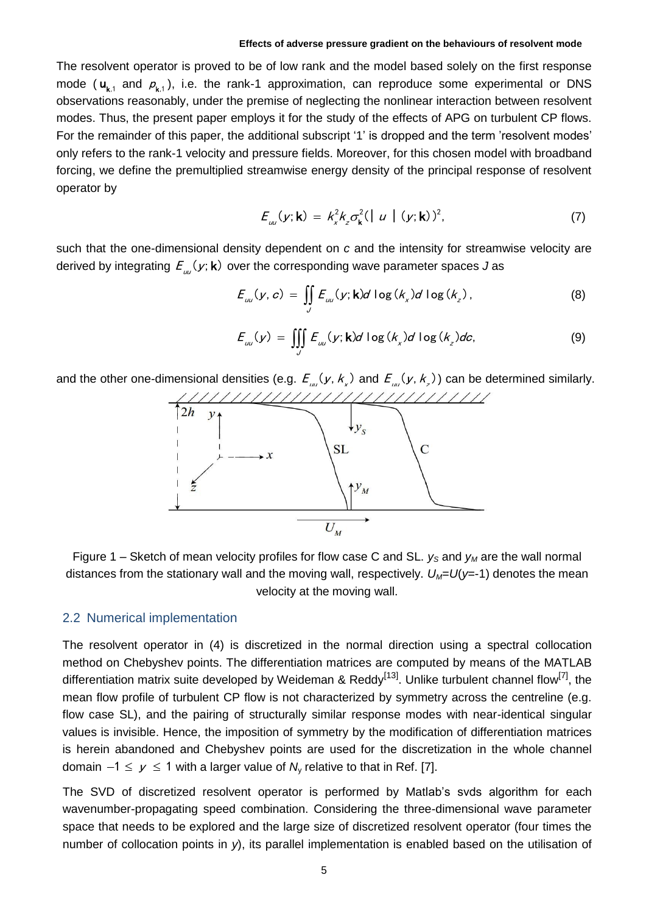The resolvent operator is proved to be of low rank and the model based solely on the first response mode ( $\mathbf{u}_{\mathbf{k},1}$  and  $p_{\mathbf{k},1}$ ), i.e. the rank-1 approximation, can reproduce some experimental or DNS observations reasonably, under the premise of neglecting the nonlinear interaction between resolvent modes. Thus, the present paper employs it for the study of the effects of APG on turbulent CP flows. For the remainder of this paper, the additional subscript '1' is dropped and the term 'resolvent modes' only refers to the rank-1 velocity and pressure fields. Moreover, for this chosen model with broadband forcing, we define the premultiplied streamwise energy density of the principal response of resolvent operator by

$$
E_{\mu\nu}(y; \mathbf{k}) = k_x^2 k_z \sigma_{\mathbf{k}}^2 (|\ u | (y; \mathbf{k}))^2,
$$
 (7)

such that the one-dimensional density dependent on *c* and the intensity for streamwise velocity are

derived by integrating 
$$
E_{\omega}(y; \mathbf{k})
$$
 over the corresponding wave parameter spaces  $J$  as  
\n
$$
E_{\omega}(y, c) = \iint_{\mathcal{Y}} E_{\omega}(y; \mathbf{k}) d \log(k_x) d \log(k_z), \qquad (8)
$$

$$
E_{\omega}(y) = \iiint_{J} E_{\omega}(y; \mathbf{k}) d \log(k_x) d \log(k_z) dc,
$$
 (9)

and the other one-dimensional densities (e.g.  $E_{_{nn}}(y, k_{_x})$  and  $E_{_{nn}}(y, k_{_x})$ ) can be determined similarly.



Figure 1 – Sketch of mean velocity profiles for flow case C and SL.  $y_s$  and  $y_M$  are the wall normal distances from the stationary wall and the moving wall, respectively.  $U_M=U(y=1)$  denotes the mean velocity at the moving wall.

#### 2.2 Numerical implementation

The resolvent operator in (4) is discretized in the normal direction using a spectral collocation method on Chebyshev points. The differentiation matrices are computed by means of the MATLAB differentiation matrix suite developed by Weideman & Reddy<sup>[13]</sup>. Unlike turbulent channel flow<sup>[7]</sup>, the mean flow profile of turbulent CP flow is not characterized by symmetry across the centreline (e.g. flow case SL), and the pairing of structurally similar response modes with near-identical singular values is invisible. Hence, the imposition of symmetry by the modification of differentiation matrices is herein abandoned and Chebyshev points are used for the discretization in the whole channel domain  $-1 \leq y \leq 1$  with a larger value of  $N_{y}$  relative to that in Ref. [7].

The SVD of discretized resolvent operator is performed by Matlab's svds algorithm for each wavenumber-propagating speed combination. Considering the three-dimensional wave parameter space that needs to be explored and the large size of discretized resolvent operator (four times the number of collocation points in *y*), its parallel implementation is enabled based on the utilisation of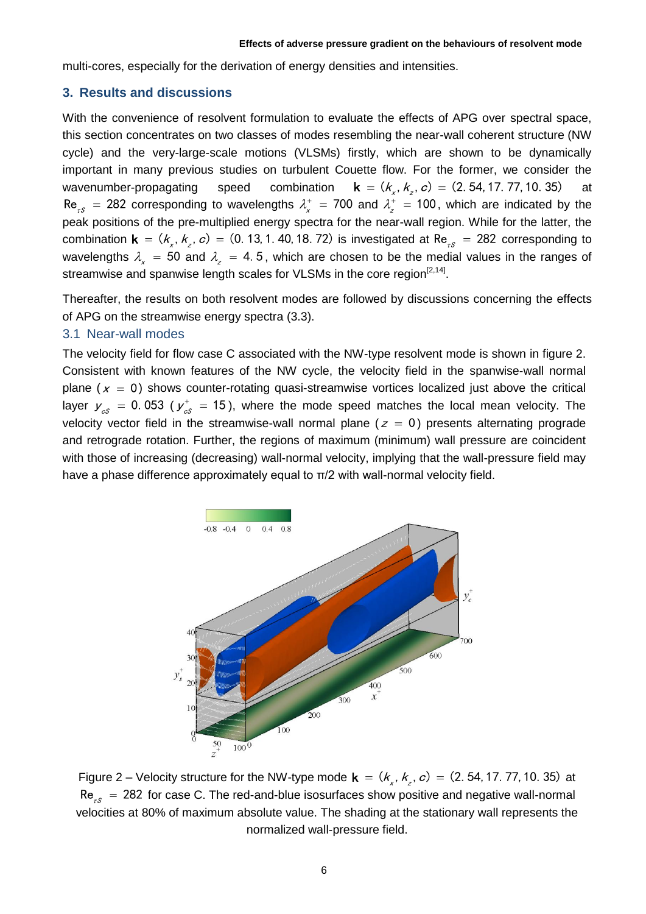multi-cores, especially for the derivation of energy densities and intensities.

### **3. Results and discussions**

With the convenience of resolvent formulation to evaluate the effects of APG over spectral space, this section concentrates on two classes of modes resembling the near-wall coherent structure (NW cycle) and the very-large-scale motions (VLSMs) firstly, which are shown to be dynamically important in many previous studies on turbulent Couette flow. For the former, we consider the wavenumber-propagating speed combination dette flow. For the former, we conside<br> **k** =  $(k_x, k_z, c)$  =  $(2.54, 17.77, 10.35)$ at  $Re_{rs}$  = 282 corresponding to wavelengths  $\lambda_x^+$  = 700 and  $\lambda_z^+$  = 100, which are indicated by the peak positions of the pre-multiplied energy spectra for the near-wall region. While for the latter, the peak positions of the pre-multiplied energy spectra for the near-wall region. While for the latter, the combination  $\mathbf{k} = (k_x, k_z, c) = (0.13, 1.40, 18.72)$  is investigated at  $\text{Re}_{rs} = 282$  corresponding to wavelengths  $\lambda_x = 50$  and  $\lambda_z = 4.5$ , which are chosen to be the medial values in the ranges of streamwise and spanwise length scales for VLSMs in the core region<sup>[2,14]</sup>.

Thereafter, the results on both resolvent modes are followed by discussions concerning the effects of APG on the streamwise energy spectra (3.3).

### 3.1 Near-wall modes

The velocity field for flow case C associated with the NW-type resolvent mode is shown in figure 2. Consistent with known features of the NW cycle, the velocity field in the spanwise-wall normal plane ( $x = 0$ ) shows counter-rotating quasi-streamwise vortices localized just above the critical layer  $y_{\text{cs}} = 0.053$  ( $y_{\text{cs}}^+ = 15$ ), where the mode speed matches the local mean velocity. The velocity vector field in the streamwise-wall normal plane ( $z = 0$ ) presents alternating prograde and retrograde rotation. Further, the regions of maximum (minimum) wall pressure are coincident with those of increasing (decreasing) wall-normal velocity, implying that the wall-pressure field may have a phase difference approximately equal to π/2 with wall-normal velocity field.



Figure 2 – Velocity structure for the NW-type mode  $\mathbf{k} = (k_x, k_z, c) = (2, 54, 17, 77, 10, 35)$  at  $\textsf{Re}_{_{\tau\mathcal{S}}} \ = \ 282 \,$  for case C. The red-and-blue isosurfaces show positive and negative wall-normal velocities at 80% of maximum absolute value. The shading at the stationary wall represents the normalized wall-pressure field.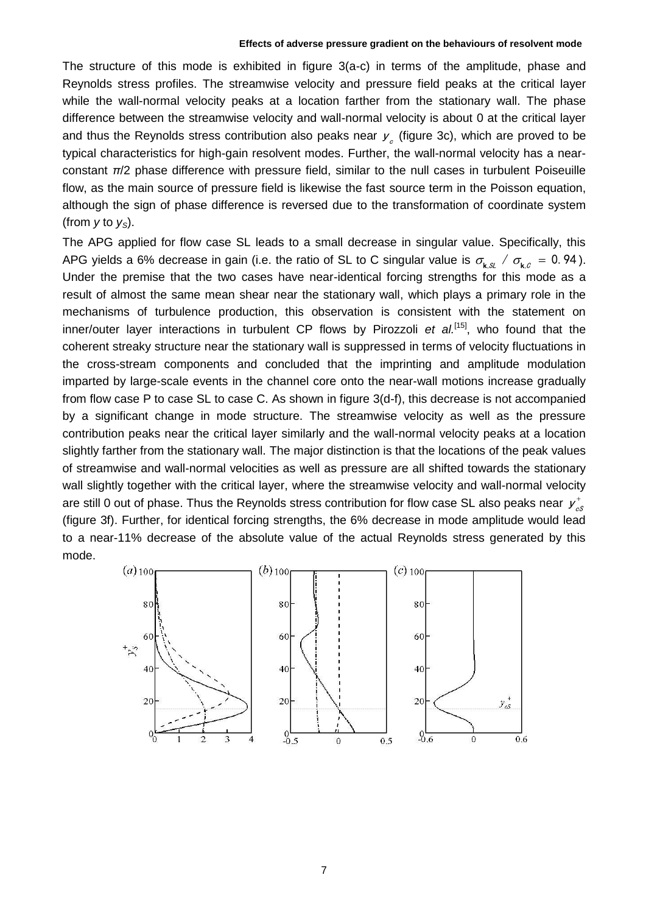The structure of this mode is exhibited in figure 3(a-c) in terms of the amplitude, phase and Reynolds stress profiles. The streamwise velocity and pressure field peaks at the critical layer while the wall-normal velocity peaks at a location farther from the stationary wall. The phase difference between the streamwise velocity and wall-normal velocity is about 0 at the critical layer and thus the Reynolds stress contribution also peaks near  $y_{c}$  (figure 3c), which are proved to be typical characteristics for high-gain resolvent modes. Further, the wall-normal velocity has a nearconstant *π*/2 phase difference with pressure field, similar to the null cases in turbulent Poiseuille flow, as the main source of pressure field is likewise the fast source term in the Poisson equation, although the sign of phase difference is reversed due to the transformation of coordinate system (from  $y$  to  $y_s$ ).

The APG applied for flow case SL leads to a small decrease in singular value. Specifically, this APG yields a 6% decrease in gain (i.e. the ratio of SL to C singular value is  $\sigma_{k,s}$  /  $\sigma_{k,c}$  = 0.94). Under the premise that the two cases have near-identical forcing strengths for this mode as a result of almost the same mean shear near the stationary wall, which plays a primary role in the mechanisms of turbulence production, this observation is consistent with the statement on inner/outer layer interactions in turbulent CP flows by Pirozzoli et al.<sup>[15]</sup>, who found that the coherent streaky structure near the stationary wall is suppressed in terms of velocity fluctuations in the cross-stream components and concluded that the imprinting and amplitude modulation imparted by large-scale events in the channel core onto the near-wall motions increase gradually from flow case P to case SL to case C. As shown in figure 3(d-f), this decrease is not accompanied by a significant change in mode structure. The streamwise velocity as well as the pressure contribution peaks near the critical layer similarly and the wall-normal velocity peaks at a location slightly farther from the stationary wall. The major distinction is that the locations of the peak values of streamwise and wall-normal velocities as well as pressure are all shifted towards the stationary wall slightly together with the critical layer, where the streamwise velocity and wall-normal velocity are still 0 out of phase. Thus the Reynolds stress contribution for flow case SL also peaks near  $y^+_{c\delta}$ (figure 3f). Further, for identical forcing strengths, the 6% decrease in mode amplitude would lead to a near-11% decrease of the absolute value of the actual Reynolds stress generated by this mode.

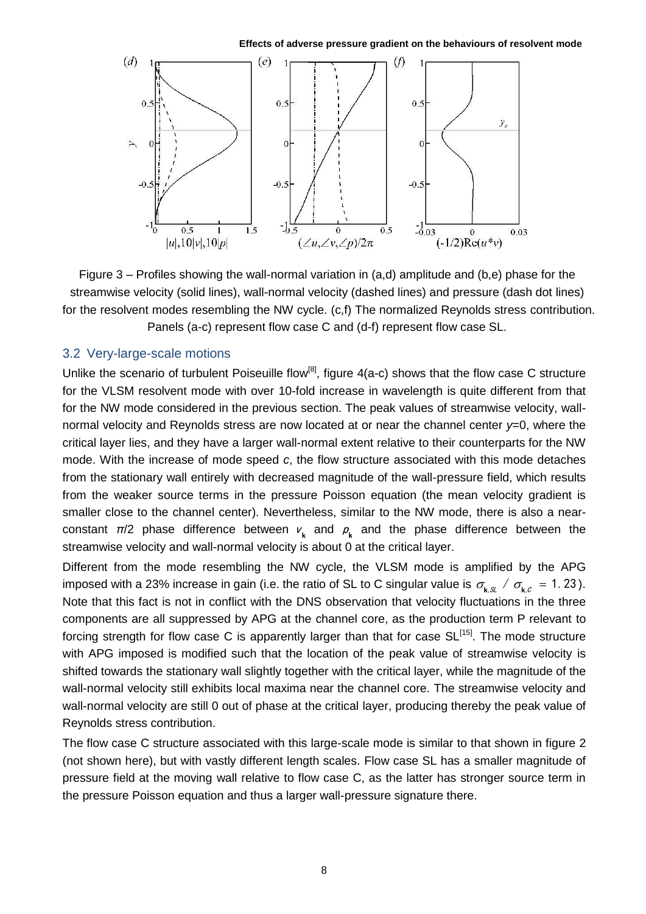**Effects of adverse pressure gradient on the behaviours of resolvent mode**



Figure 3 – Profiles showing the wall-normal variation in (a,d) amplitude and (b,e) phase for the streamwise velocity (solid lines), wall-normal velocity (dashed lines) and pressure (dash dot lines) for the resolvent modes resembling the NW cycle. (c,f) The normalized Reynolds stress contribution. Panels (a-c) represent flow case C and (d-f) represent flow case SL.

# 3.2 Very-large-scale motions

Unlike the scenario of turbulent Poiseuille flow<sup>[8]</sup>, figure  $4(a-c)$  shows that the flow case C structure for the VLSM resolvent mode with over 10-fold increase in wavelength is quite different from that for the NW mode considered in the previous section. The peak values of streamwise velocity, wallnormal velocity and Reynolds stress are now located at or near the channel center *y*=0, where the critical layer lies, and they have a larger wall-normal extent relative to their counterparts for the NW mode. With the increase of mode speed *c*, the flow structure associated with this mode detaches from the stationary wall entirely with decreased magnitude of the wall-pressure field, which results from the weaker source terms in the pressure Poisson equation (the mean velocity gradient is smaller close to the channel center). Nevertheless, similar to the NW mode, there is also a nearconstant  $\pi/2$  phase difference between  $v_{\mathbf{k}}$  and  $p_{\mathbf{k}}$  and the phase difference between the streamwise velocity and wall-normal velocity is about 0 at the critical layer.

Different from the mode resembling the NW cycle, the VLSM mode is amplified by the APG imposed with a 23% increase in gain (i.e. the ratio of SL to C singular value is  $\sigma_{k,x}$  /  $\sigma_{k,c}$  = 1. 23). Note that this fact is not in conflict with the DNS observation that velocity fluctuations in the three components are all suppressed by APG at the channel core, as the production term P relevant to forcing strength for flow case C is apparently larger than that for case  $SL^{[15]}$ . The mode structure with APG imposed is modified such that the location of the peak value of streamwise velocity is shifted towards the stationary wall slightly together with the critical layer, while the magnitude of the wall-normal velocity still exhibits local maxima near the channel core. The streamwise velocity and wall-normal velocity are still 0 out of phase at the critical layer, producing thereby the peak value of Reynolds stress contribution.

The flow case C structure associated with this large-scale mode is similar to that shown in figure 2 (not shown here), but with vastly different length scales. Flow case SL has a smaller magnitude of pressure field at the moving wall relative to flow case C, as the latter has stronger source term in the pressure Poisson equation and thus a larger wall-pressure signature there.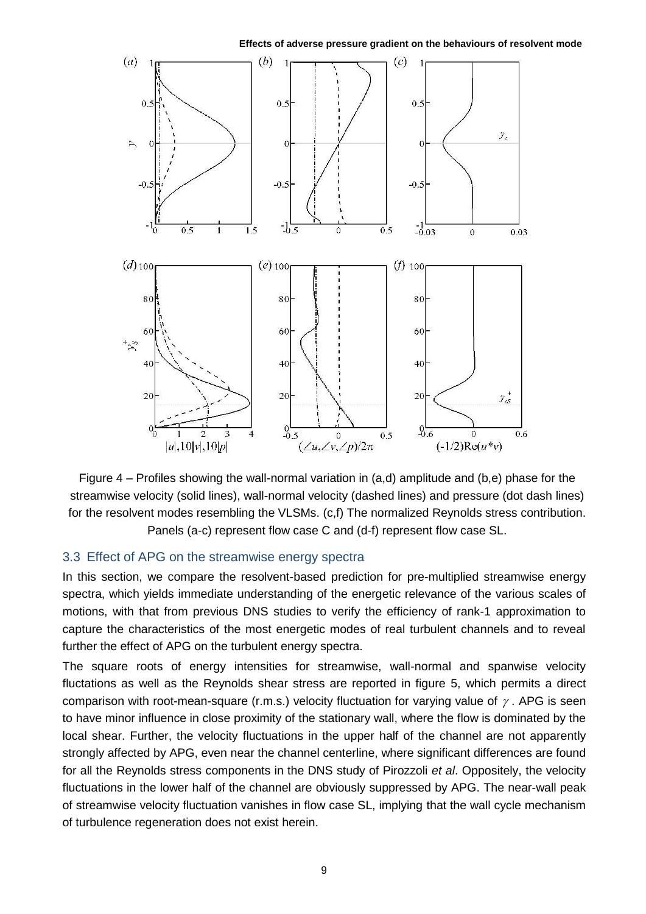

**Effects of adverse pressure gradient on the behaviours of resolvent mode**

Figure 4 – Profiles showing the wall-normal variation in (a,d) amplitude and (b,e) phase for the streamwise velocity (solid lines), wall-normal velocity (dashed lines) and pressure (dot dash lines) for the resolvent modes resembling the VLSMs. (c,f) The normalized Reynolds stress contribution. Panels (a-c) represent flow case C and (d-f) represent flow case SL.

# 3.3 Effect of APG on the streamwise energy spectra

In this section, we compare the resolvent-based prediction for pre-multiplied streamwise energy spectra, which yields immediate understanding of the energetic relevance of the various scales of motions, with that from previous DNS studies to verify the efficiency of rank-1 approximation to capture the characteristics of the most energetic modes of real turbulent channels and to reveal further the effect of APG on the turbulent energy spectra.

The square roots of energy intensities for streamwise, wall-normal and spanwise velocity fluctations as well as the Reynolds shear stress are reported in figure 5, which permits a direct comparison with root-mean-square (r.m.s.) velocity fluctuation for varying value of  $\gamma$ . APG is seen to have minor influence in close proximity of the stationary wall, where the flow is dominated by the local shear. Further, the velocity fluctuations in the upper half of the channel are not apparently strongly affected by APG, even near the channel centerline, where significant differences are found for all the Reynolds stress components in the DNS study of Pirozzoli *et al*. Oppositely, the velocity fluctuations in the lower half of the channel are obviously suppressed by APG. The near-wall peak of streamwise velocity fluctuation vanishes in flow case SL, implying that the wall cycle mechanism of turbulence regeneration does not exist herein.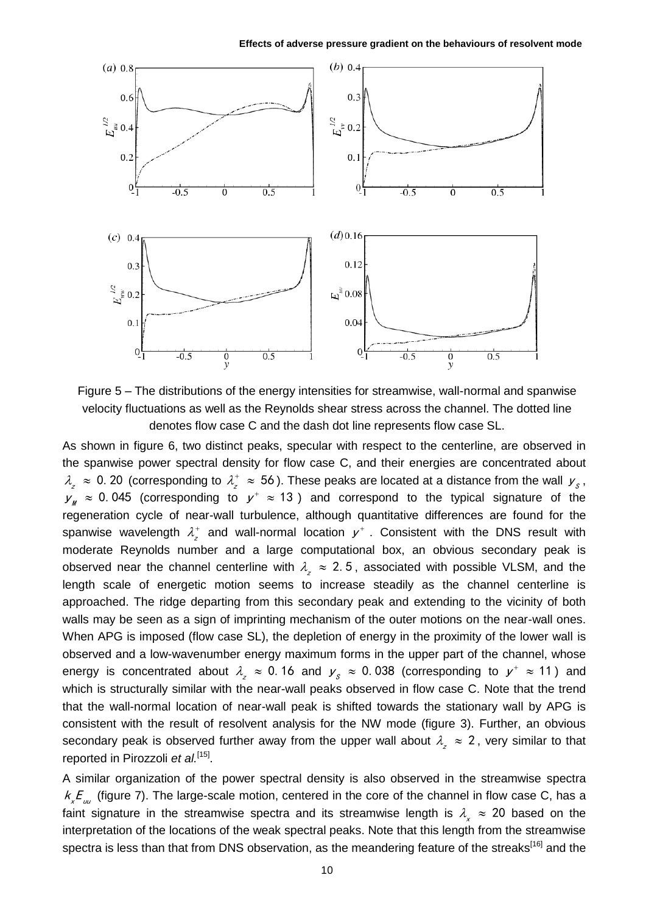

Figure 5 – The distributions of the energy intensities for streamwise, wall-normal and spanwise velocity fluctuations as well as the Reynolds shear stress across the channel. The dotted line denotes flow case C and the dash dot line represents flow case SL.

As shown in figure 6, two distinct peaks, specular with respect to the centerline, are observed in the spanwise power spectral density for flow case C, and their energies are concentrated about  $\lambda_z^2\approx 0$ . 20 (corresponding to  $\lambda_z^+\approx 56$ ). These peaks are located at a distance from the wall  $\mu_s^2$ ,  $y_{\textit{M}} \approx 0.045$  (corresponding to  $y^+ \approx 13$ ) and correspond to the typical signature of the regeneration cycle of near-wall turbulence, although quantitative differences are found for the spanwise wavelength  $\lambda_z^+$  and wall-normal location  $y^+$  . Consistent with the DNS result with moderate Reynolds number and a large computational box, an obvious secondary peak is observed near the channel centerline with  $\lambda_z \approx 2.5$ , associated with possible VLSM, and the length scale of energetic motion seems to increase steadily as the channel centerline is approached. The ridge departing from this secondary peak and extending to the vicinity of both walls may be seen as a sign of imprinting mechanism of the outer motions on the near-wall ones. When APG is imposed (flow case SL), the depletion of energy in the proximity of the lower wall is observed and a low-wavenumber energy maximum forms in the upper part of the channel, whose energy is concentrated about  $\lambda_z \approx 0.16$  and  $y_s \approx 0.038$  (corresponding to  $y^+ \approx 11$ ) and which is structurally similar with the near-wall peaks observed in flow case C. Note that the trend that the wall-normal location of near-wall peak is shifted towards the stationary wall by APG is consistent with the result of resolvent analysis for the NW mode (figure 3). Further, an obvious secondary peak is observed further away from the upper wall about  $\lambda_z \approx 2$ , very similar to that reported in Pirozzoli et al.<sup>[15]</sup>.

A similar organization of the power spectral density is also observed in the streamwise spectra  $k_{_\chi}{\cal E}_{_{\rm \nu\omega}}$  (figure 7). The large-scale motion, centered in the core of the channel in flow case C, has a faint signature in the streamwise spectra and its streamwise length is  $\lambda_{\chi}$   $\approx$  20 based on the interpretation of the locations of the weak spectral peaks. Note that this length from the streamwise spectra is less than that from DNS observation, as the meandering feature of the streaks<sup>[16]</sup> and the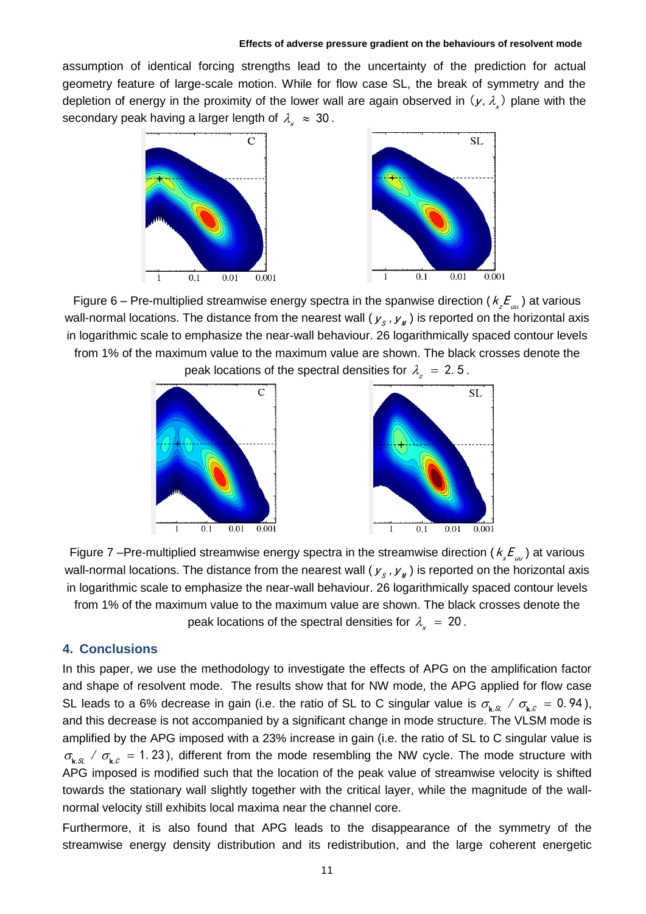assumption of identical forcing strengths lead to the uncertainty of the prediction for actual geometry feature of large-scale motion. While for flow case SL, the break of symmetry and the depletion of energy in the proximity of the lower wall are again observed in  $(\gamma, \lambda_{\chi})$  plane with the secondary peak having a larger length of  $\lambda_{\chi}^{\parallel} \approx 30$  .



Figure 6 – Pre-multiplied streamwise energy spectra in the spanwise direction (  $k_z^{} \mathcal{F}_{_{uu}}^{}$  ) at various wall-normal locations. The distance from the nearest wall (  $\mathcal{y}_{_\mathcal{S}}$  ,  $\mathcal{y}_{_\mathcal{H}}$  ) is reported on the horizontal axis in logarithmic scale to emphasize the near-wall behaviour. 26 logarithmically spaced contour levels from 1% of the maximum value to the maximum value are shown. The black crosses denote the peak locations of the spectral densities for  $\lambda _z^+ = 2.5$  .



Figure 7 –Pre-multiplied streamwise energy spectra in the streamwise direction ( $k_{x}E_{_{\mu\nu}}$ ) at various wall-normal locations. The distance from the nearest wall (  $\mathcal{y}_{s}$  ,  $\mathcal{y}_{_{\mathit{M}}}$  ) is reported on the horizontal axis in logarithmic scale to emphasize the near-wall behaviour. 26 logarithmically spaced contour levels from 1% of the maximum value to the maximum value are shown. The black crosses denote the peak locations of the spectral densities for  $\lambda_{\mathbf{x}} = 20$  .

# **4. Conclusions**

In this paper, we use the methodology to investigate the effects of APG on the amplification factor and shape of resolvent mode. The results show that for NW mode, the APG applied for flow case SL leads to a 6% decrease in gain (i.e. the ratio of SL to C singular value is  $\sigma_{k,x}$  /  $\sigma_{k,c}$  = 0.94), and this decrease is not accompanied by a significant change in mode structure. The VLSM mode is amplified by the APG imposed with a 23% increase in gain (i.e. the ratio of SL to C singular value is  $\sigma_{k,s}$  /  $\sigma_{k,c}$  = 1.23), different from the mode resembling the NW cycle. The mode structure with APG imposed is modified such that the location of the peak value of streamwise velocity is shifted towards the stationary wall slightly together with the critical layer, while the magnitude of the wallnormal velocity still exhibits local maxima near the channel core.

Furthermore, it is also found that APG leads to the disappearance of the symmetry of the streamwise energy density distribution and its redistribution, and the large coherent energetic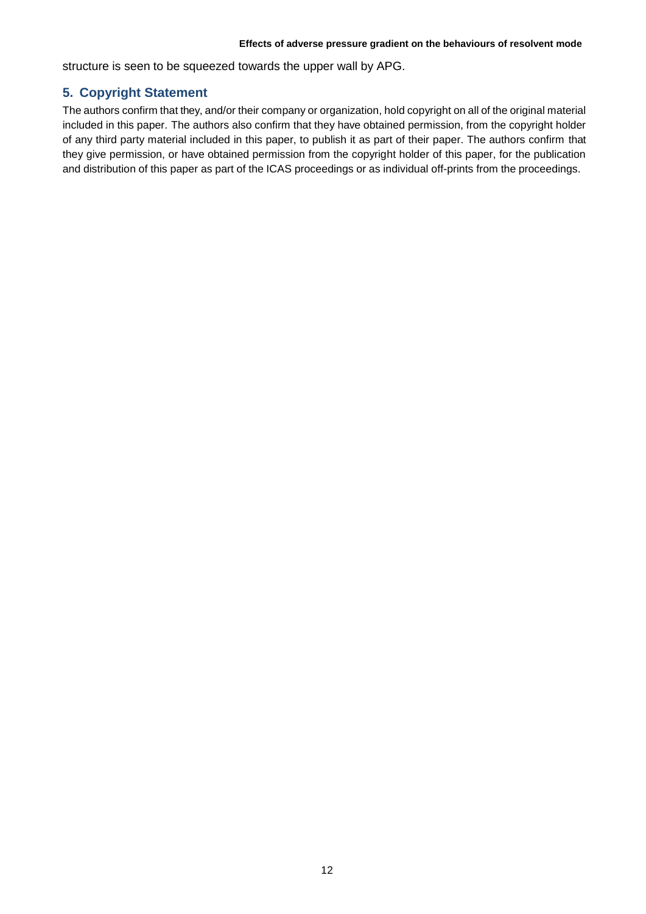structure is seen to be squeezed towards the upper wall by APG.

# **5. Copyright Statement**

The authors confirm that they, and/or their company or organization, hold copyright on all of the original material included in this paper. The authors also confirm that they have obtained permission, from the copyright holder of any third party material included in this paper, to publish it as part of their paper. The authors confirm that they give permission, or have obtained permission from the copyright holder of this paper, for the publication and distribution of this paper as part of the ICAS proceedings or as individual off-prints from the proceedings.